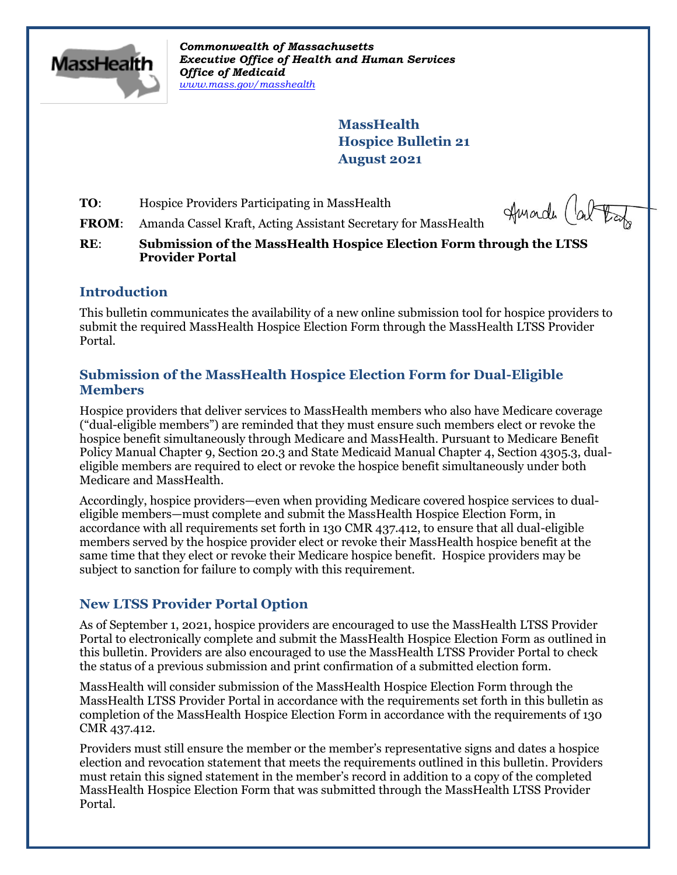

*Commonwealth of Massachusetts Executive Office of Health and Human Services Office of Medicaid [www.mass.gov/masshealth](http://www.mass.gov/masshealth)*

> **MassHealth Hospice Bulletin 21 August 2021**

**TO:** Hospice Providers Participating in MassHealth

Amade (about

**FROM**: Amanda Cassel Kraft, Acting Assistant Secretary for MassHealth

**RE**: **Submission of the MassHealth Hospice Election Form through the LTSS Provider Portal**

## **Introduction**

This bulletin communicates the availability of a new online submission tool for hospice providers to submit the required MassHealth Hospice Election Form through the MassHealth LTSS Provider Portal.

## **Submission of the MassHealth Hospice Election Form for Dual-Eligible Members**

Hospice providers that deliver services to MassHealth members who also have Medicare coverage ("dual-eligible members") are reminded that they must ensure such members elect or revoke the hospice benefit simultaneously through Medicare and MassHealth. Pursuant to Medicare Benefit Policy Manual Chapter 9, Section 20.3 and State Medicaid Manual Chapter 4, Section 4305.3, dualeligible members are required to elect or revoke the hospice benefit simultaneously under both Medicare and MassHealth.

Accordingly, hospice providers—even when providing Medicare covered hospice services to dualeligible members—must complete and submit the MassHealth Hospice Election Form, in accordance with all requirements set forth in 130 CMR 437.412, to ensure that all dual-eligible members served by the hospice provider elect or revoke their MassHealth hospice benefit at the same time that they elect or revoke their Medicare hospice benefit. Hospice providers may be subject to sanction for failure to comply with this requirement.

# **New LTSS Provider Portal Option**

As of September 1, 2021, hospice providers are encouraged to use the MassHealth LTSS Provider Portal to electronically complete and submit the MassHealth Hospice Election Form as outlined in this bulletin. Providers are also encouraged to use the MassHealth LTSS Provider Portal to check the status of a previous submission and print confirmation of a submitted election form.

MassHealth will consider submission of the MassHealth Hospice Election Form through the MassHealth LTSS Provider Portal in accordance with the requirements set forth in this bulletin as completion of the MassHealth Hospice Election Form in accordance with the requirements of 130 CMR 437.412.

Providers must still ensure the member or the member's representative signs and dates a hospice election and revocation statement that meets the requirements outlined in this bulletin. Providers must retain this signed statement in the member's record in addition to a copy of the completed MassHealth Hospice Election Form that was submitted through the MassHealth LTSS Provider Portal.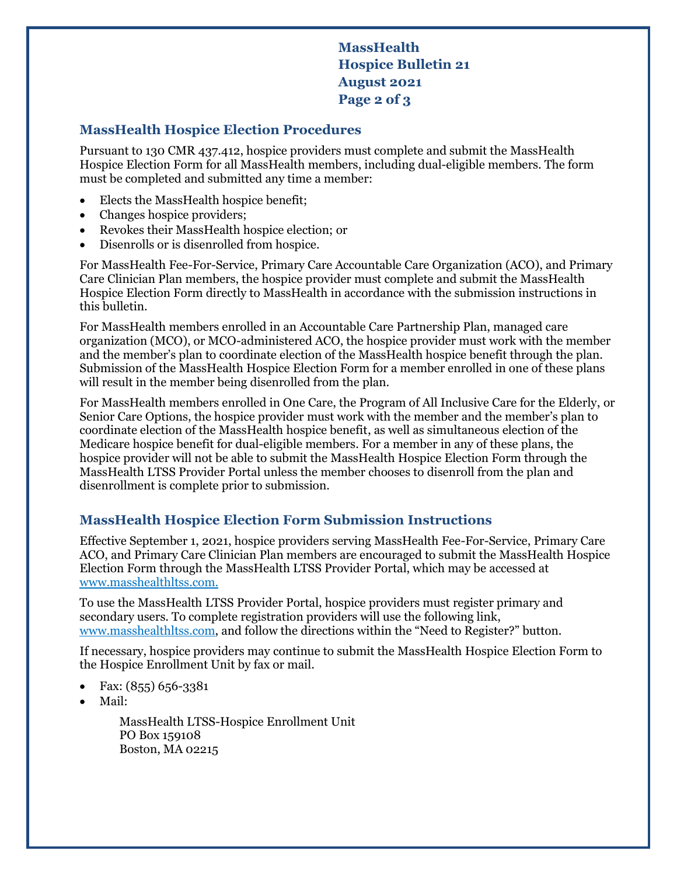**MassHealth Hospice Bulletin 21 August 2021 Page 2 of 3**

## **MassHealth Hospice Election Procedures**

Pursuant to 130 CMR 437.412, hospice providers must complete and submit the MassHealth Hospice Election Form for all MassHealth members, including dual-eligible members. The form must be completed and submitted any time a member:

- Elects the MassHealth hospice benefit;
- Changes hospice providers;
- Revokes their MassHealth hospice election; or
- Disenrolls or is disenrolled from hospice.

For MassHealth Fee-For-Service, Primary Care Accountable Care Organization (ACO), and Primary Care Clinician Plan members, the hospice provider must complete and submit the MassHealth Hospice Election Form directly to MassHealth in accordance with the submission instructions in this bulletin.

For MassHealth members enrolled in an Accountable Care Partnership Plan, managed care organization (MCO), or MCO-administered ACO, the hospice provider must work with the member and the member's plan to coordinate election of the MassHealth hospice benefit through the plan. Submission of the MassHealth Hospice Election Form for a member enrolled in one of these plans will result in the member being disenrolled from the plan.

For MassHealth members enrolled in One Care, the Program of All Inclusive Care for the Elderly, or Senior Care Options, the hospice provider must work with the member and the member's plan to coordinate election of the MassHealth hospice benefit, as well as simultaneous election of the Medicare hospice benefit for dual-eligible members. For a member in any of these plans, the hospice provider will not be able to submit the MassHealth Hospice Election Form through the MassHealth LTSS Provider Portal unless the member chooses to disenroll from the plan and disenrollment is complete prior to submission.

## **MassHealth Hospice Election Form Submission Instructions**

Effective September 1, 2021, hospice providers serving MassHealth Fee-For-Service, Primary Care ACO, and Primary Care Clinician Plan members are encouraged to submit the MassHealth Hospice Election Form through the MassHealth LTSS Provider Portal, which may be accessed at [www.masshealthltss.com.](http://www.masshealthltss.com/)

To use the MassHealth LTSS Provider Portal, hospice providers must register primary and secondary users. To complete registration providers will use the following link, [www.masshealthltss.com,](http://www.masshealthltss.com/) and follow the directions within the "Need to Register?" button.

If necessary, hospice providers may continue to submit the MassHealth Hospice Election Form to the Hospice Enrollment Unit by fax or mail.

- Fax: (855) 656-3381
- Mail:

MassHealth LTSS-Hospice Enrollment Unit PO Box 159108 Boston, MA 02215